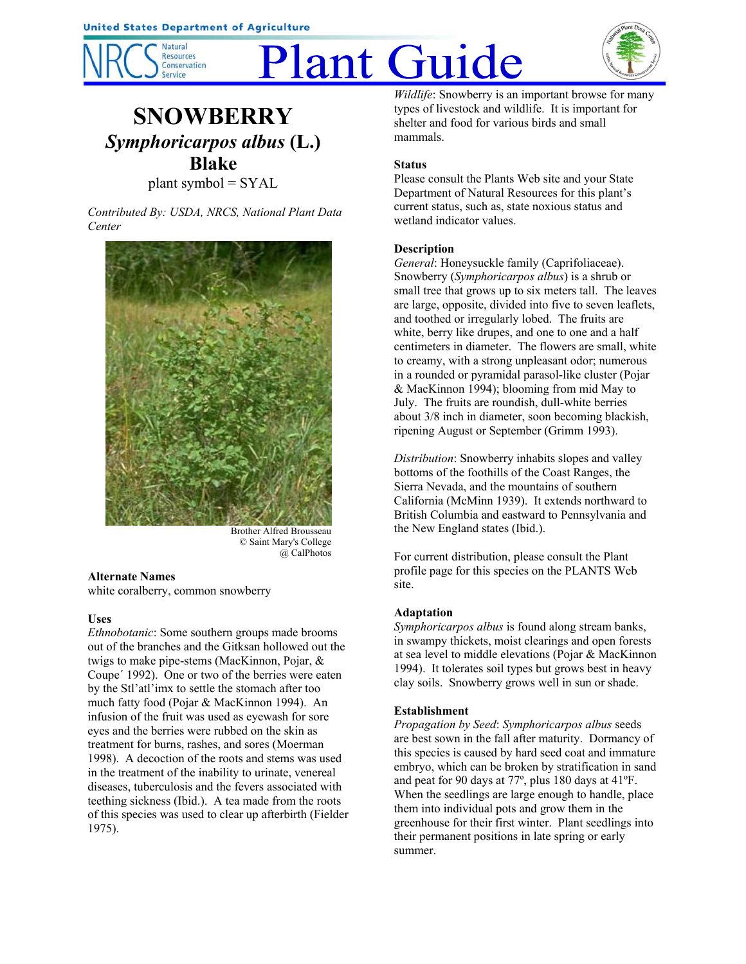

# Plant Guide



# **SNOWBERRY** *Symphoricarpos albus* **(L.) Blake**

plant symbol = SYAL

*Contributed By: USDA, NRCS, National Plant Data Center*



Brother Alfred Brousseau © Saint Mary's College @ CalPhotos

# **Alternate Names**

white coralberry, common snowberry

# **Uses**

*Ethnobotanic*: Some southern groups made brooms out of the branches and the Gitksan hollowed out the twigs to make pipe-stems (MacKinnon, Pojar, & Coupe´ 1992). One or two of the berries were eaten by the Stl'atl'imx to settle the stomach after too much fatty food (Pojar & MacKinnon 1994). An infusion of the fruit was used as eyewash for sore eyes and the berries were rubbed on the skin as treatment for burns, rashes, and sores (Moerman 1998). A decoction of the roots and stems was used in the treatment of the inability to urinate, venereal diseases, tuberculosis and the fevers associated with teething sickness (Ibid.). A tea made from the roots of this species was used to clear up afterbirth (Fielder 1975).

*Wildlife*: Snowberry is an important browse for many types of livestock and wildlife. It is important for shelter and food for various birds and small mammals.

# **Status**

Please consult the Plants Web site and your State Department of Natural Resources for this plant's current status, such as, state noxious status and wetland indicator values.

# **Description**

*General*: Honeysuckle family (Caprifoliaceae). Snowberry (*Symphoricarpos albus*) is a shrub or small tree that grows up to six meters tall. The leaves are large, opposite, divided into five to seven leaflets, and toothed or irregularly lobed. The fruits are white, berry like drupes, and one to one and a half centimeters in diameter. The flowers are small, white to creamy, with a strong unpleasant odor; numerous in a rounded or pyramidal parasol-like cluster (Pojar & MacKinnon 1994); blooming from mid May to July. The fruits are roundish, dull-white berries about 3/8 inch in diameter, soon becoming blackish, ripening August or September (Grimm 1993).

*Distribution*: Snowberry inhabits slopes and valley bottoms of the foothills of the Coast Ranges, the Sierra Nevada, and the mountains of southern California (McMinn 1939). It extends northward to British Columbia and eastward to Pennsylvania and the New England states (Ibid.).

For current distribution, please consult the Plant profile page for this species on the PLANTS Web site.

# **Adaptation**

*Symphoricarpos albus* is found along stream banks, in swampy thickets, moist clearings and open forests at sea level to middle elevations (Pojar & MacKinnon 1994). It tolerates soil types but grows best in heavy clay soils. Snowberry grows well in sun or shade.

# **Establishment**

*Propagation by Seed*: *Symphoricarpos albus* seeds are best sown in the fall after maturity. Dormancy of this species is caused by hard seed coat and immature embryo, which can be broken by stratification in sand and peat for 90 days at 77º, plus 180 days at 41ºF. When the seedlings are large enough to handle, place them into individual pots and grow them in the greenhouse for their first winter. Plant seedlings into their permanent positions in late spring or early summer.